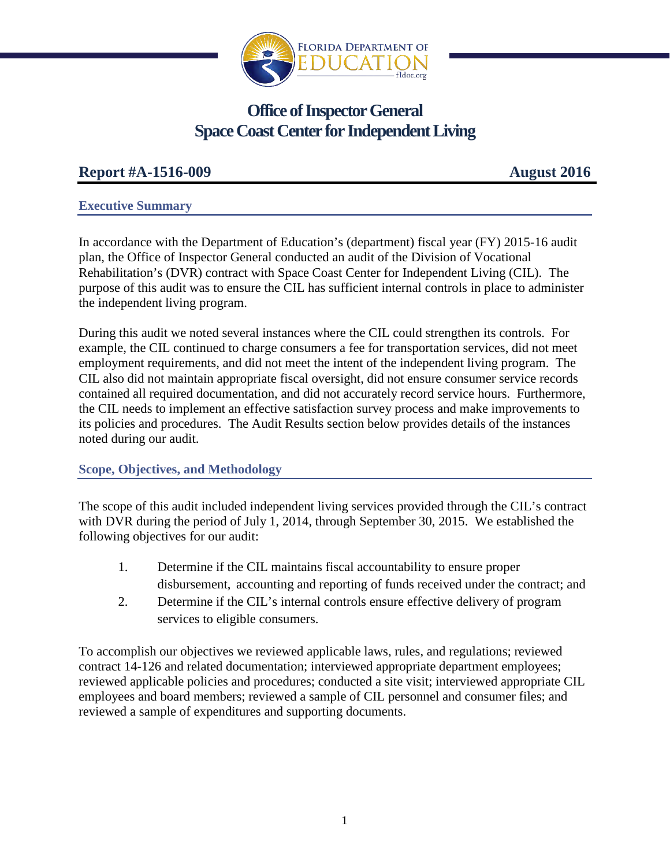

# **Office of Inspector General Space Coast Center for Independent Living**

# **Report #A-1516-009 August 2016**

## **Executive Summary**

In accordance with the Department of Education's (department) fiscal year (FY) 2015-16 audit plan, the Office of Inspector General conducted an audit of the Division of Vocational Rehabilitation's (DVR) contract with Space Coast Center for Independent Living (CIL). The purpose of this audit was to ensure the CIL has sufficient internal controls in place to administer the independent living program.

During this audit we noted several instances where the CIL could strengthen its controls. For example, the CIL continued to charge consumers a fee for transportation services, did not meet employment requirements, and did not meet the intent of the independent living program. The CIL also did not maintain appropriate fiscal oversight, did not ensure consumer service records contained all required documentation, and did not accurately record service hours. Furthermore, the CIL needs to implement an effective satisfaction survey process and make improvements to its policies and procedures. The Audit Results section below provides details of the instances noted during our audit.

# **Scope, Objectives, and Methodology**

The scope of this audit included independent living services provided through the CIL's contract with DVR during the period of July 1, 2014, through September 30, 2015. We established the following objectives for our audit:

- 1. Determine if the CIL maintains fiscal accountability to ensure proper disbursement, accounting and reporting of funds received under the contract; and
- 2. Determine if the CIL's internal controls ensure effective delivery of program services to eligible consumers.

To accomplish our objectives we reviewed applicable laws, rules, and regulations; reviewed contract 14-126 and related documentation; interviewed appropriate department employees; reviewed applicable policies and procedures; conducted a site visit; interviewed appropriate CIL employees and board members; reviewed a sample of CIL personnel and consumer files; and reviewed a sample of expenditures and supporting documents.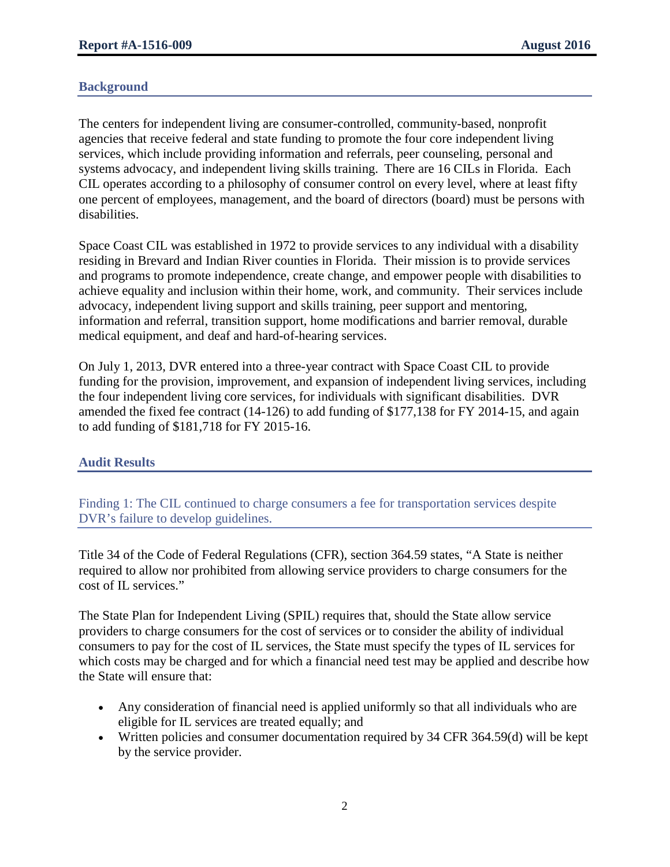## **Background**

The centers for independent living are consumer-controlled, community-based, nonprofit agencies that receive federal and state funding to promote the four core independent living services, which include providing information and referrals, peer counseling, personal and systems advocacy, and independent living skills training. There are 16 CILs in Florida. Each CIL operates according to a philosophy of consumer control on every level, where at least fifty one percent of employees, management, and the board of directors (board) must be persons with disabilities.

Space Coast CIL was established in 1972 to provide services to any individual with a disability residing in Brevard and Indian River counties in Florida. Their mission is to provide services and programs to promote independence, create change, and empower people with disabilities to achieve equality and inclusion within their home, work, and community. Their services include advocacy, independent living support and skills training, peer support and mentoring, information and referral, transition support, home modifications and barrier removal, durable medical equipment, and deaf and hard-of-hearing services.

On July 1, 2013, DVR entered into a three-year contract with Space Coast CIL to provide funding for the provision, improvement, and expansion of independent living services, including the four independent living core services, for individuals with significant disabilities. DVR amended the fixed fee contract (14-126) to add funding of \$177,138 for FY 2014-15, and again to add funding of \$181,718 for FY 2015-16.

## **Audit Results**

Finding 1: The CIL continued to charge consumers a fee for transportation services despite DVR's failure to develop guidelines.

Title 34 of the Code of Federal Regulations (CFR), section 364.59 states, "A State is neither required to allow nor prohibited from allowing service providers to charge consumers for the cost of IL services."

The State Plan for Independent Living (SPIL) requires that, should the State allow service providers to charge consumers for the cost of services or to consider the ability of individual consumers to pay for the cost of IL services, the State must specify the types of IL services for which costs may be charged and for which a financial need test may be applied and describe how the State will ensure that:

- Any consideration of financial need is applied uniformly so that all individuals who are eligible for IL services are treated equally; and
- Written policies and consumer documentation required by 34 CFR 364.59(d) will be kept by the service provider.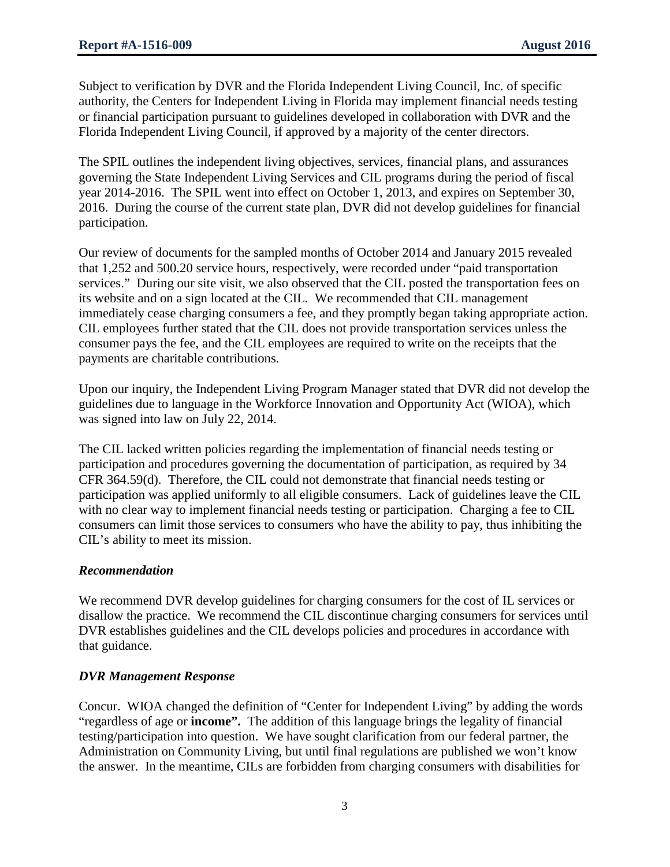Subject to verification by DVR and the Florida Independent Living Council, Inc. of specific authority, the Centers for Independent Living in Florida may implement financial needs testing or financial participation pursuant to guidelines developed in collaboration with DVR and the Florida Independent Living Council, if approved by a majority of the center directors.

The SPIL outlines the independent living objectives, services, financial plans, and assurances governing the State Independent Living Services and CIL programs during the period of fiscal year 2014-2016. The SPIL went into effect on October 1, 2013, and expires on September 30, 2016. During the course of the current state plan, DVR did not develop guidelines for financial participation.

Our review of documents for the sampled months of October 2014 and January 2015 revealed that 1,252 and 500.20 service hours, respectively, were recorded under "paid transportation services." During our site visit, we also observed that the CIL posted the transportation fees on its website and on a sign located at the CIL. We recommended that CIL management immediately cease charging consumers a fee, and they promptly began taking appropriate action. CIL employees further stated that the CIL does not provide transportation services unless the consumer pays the fee, and the CIL employees are required to write on the receipts that the payments are charitable contributions.

Upon our inquiry, the Independent Living Program Manager stated that DVR did not develop the guidelines due to language in the Workforce Innovation and Opportunity Act (WIOA), which was signed into law on July 22, 2014.

The CIL lacked written policies regarding the implementation of financial needs testing or participation and procedures governing the documentation of participation, as required by 34 CFR 364.59(d). Therefore, the CIL could not demonstrate that financial needs testing or participation was applied uniformly to all eligible consumers. Lack of guidelines leave the CIL with no clear way to implement financial needs testing or participation. Charging a fee to CIL consumers can limit those services to consumers who have the ability to pay, thus inhibiting the CIL's ability to meet its mission.

## *Recommendation*

We recommend DVR develop guidelines for charging consumers for the cost of IL services or disallow the practice. We recommend the CIL discontinue charging consumers for services until DVR establishes guidelines and the CIL develops policies and procedures in accordance with that guidance.

## *DVR Management Response*

Concur. WIOA changed the definition of "Center for Independent Living" by adding the words "regardless of age or **income".** The addition of this language brings the legality of financial testing/participation into question. We have sought clarification from our federal partner, the Administration on Community Living, but until final regulations are published we won't know the answer. In the meantime, CILs are forbidden from charging consumers with disabilities for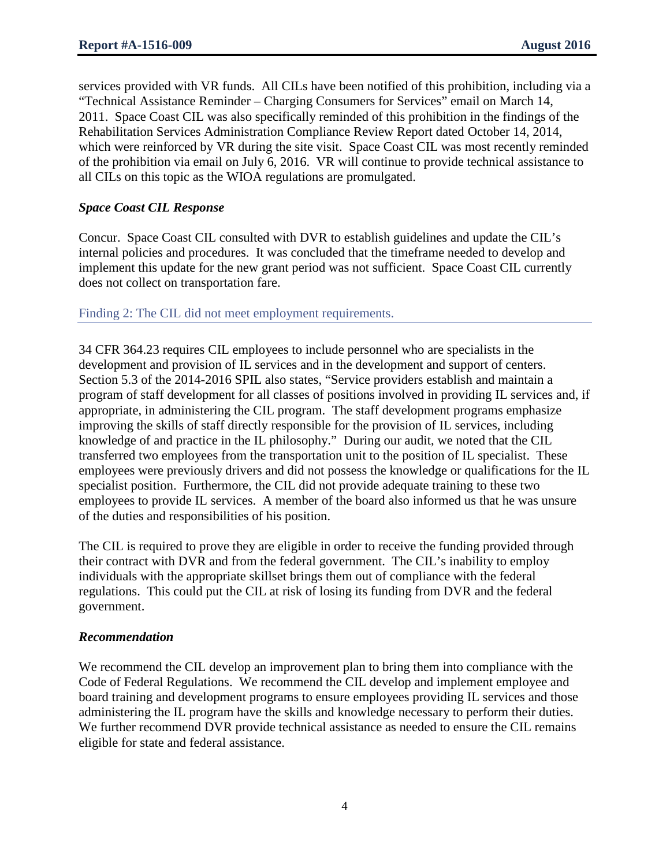services provided with VR funds. All CILs have been notified of this prohibition, including via a "Technical Assistance Reminder – Charging Consumers for Services" email on March 14, 2011. Space Coast CIL was also specifically reminded of this prohibition in the findings of the Rehabilitation Services Administration Compliance Review Report dated October 14, 2014, which were reinforced by VR during the site visit. Space Coast CIL was most recently reminded of the prohibition via email on July 6, 2016. VR will continue to provide technical assistance to all CILs on this topic as the WIOA regulations are promulgated.

## *Space Coast CIL Response*

Concur. Space Coast CIL consulted with DVR to establish guidelines and update the CIL's internal policies and procedures. It was concluded that the timeframe needed to develop and implement this update for the new grant period was not sufficient. Space Coast CIL currently does not collect on transportation fare.

#### Finding 2: The CIL did not meet employment requirements.

34 CFR 364.23 requires CIL employees to include personnel who are specialists in the development and provision of IL services and in the development and support of centers. Section 5.3 of the 2014-2016 SPIL also states, "Service providers establish and maintain a program of staff development for all classes of positions involved in providing IL services and, if appropriate, in administering the CIL program. The staff development programs emphasize improving the skills of staff directly responsible for the provision of IL services, including knowledge of and practice in the IL philosophy." During our audit, we noted that the CIL transferred two employees from the transportation unit to the position of IL specialist. These employees were previously drivers and did not possess the knowledge or qualifications for the IL specialist position. Furthermore, the CIL did not provide adequate training to these two employees to provide IL services. A member of the board also informed us that he was unsure of the duties and responsibilities of his position.

The CIL is required to prove they are eligible in order to receive the funding provided through their contract with DVR and from the federal government. The CIL's inability to employ individuals with the appropriate skillset brings them out of compliance with the federal regulations. This could put the CIL at risk of losing its funding from DVR and the federal government.

#### *Recommendation*

We recommend the CIL develop an improvement plan to bring them into compliance with the Code of Federal Regulations. We recommend the CIL develop and implement employee and board training and development programs to ensure employees providing IL services and those administering the IL program have the skills and knowledge necessary to perform their duties. We further recommend DVR provide technical assistance as needed to ensure the CIL remains eligible for state and federal assistance.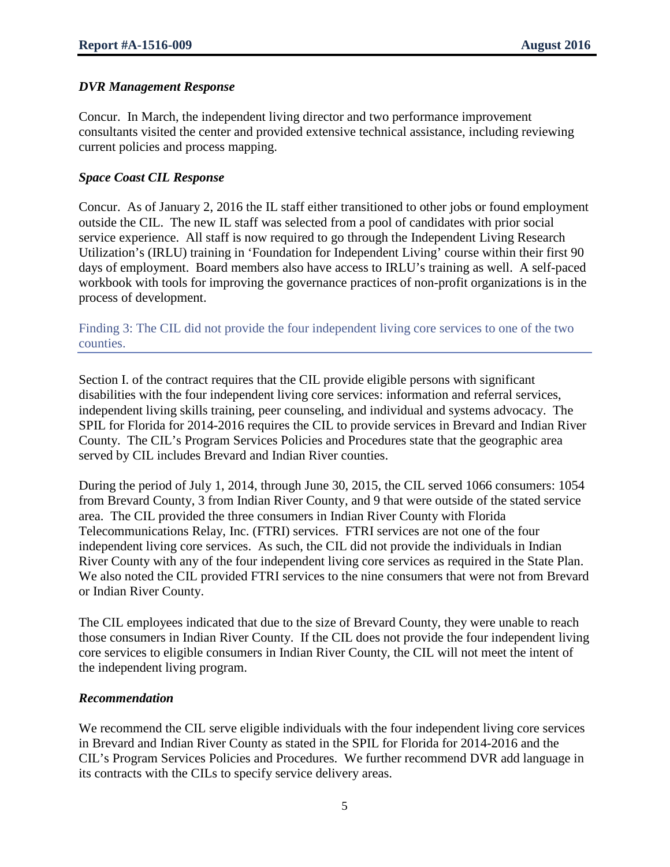#### *DVR Management Response*

Concur. In March, the independent living director and two performance improvement consultants visited the center and provided extensive technical assistance, including reviewing current policies and process mapping.

#### *Space Coast CIL Response*

Concur. As of January 2, 2016 the IL staff either transitioned to other jobs or found employment outside the CIL. The new IL staff was selected from a pool of candidates with prior social service experience. All staff is now required to go through the Independent Living Research Utilization's (IRLU) training in 'Foundation for Independent Living' course within their first 90 days of employment. Board members also have access to IRLU's training as well. A self-paced workbook with tools for improving the governance practices of non-profit organizations is in the process of development.

Finding 3: The CIL did not provide the four independent living core services to one of the two counties.

Section I. of the contract requires that the CIL provide eligible persons with significant disabilities with the four independent living core services: information and referral services, independent living skills training, peer counseling, and individual and systems advocacy. The SPIL for Florida for 2014-2016 requires the CIL to provide services in Brevard and Indian River County. The CIL's Program Services Policies and Procedures state that the geographic area served by CIL includes Brevard and Indian River counties.

During the period of July 1, 2014, through June 30, 2015, the CIL served 1066 consumers: 1054 from Brevard County, 3 from Indian River County, and 9 that were outside of the stated service area. The CIL provided the three consumers in Indian River County with Florida Telecommunications Relay, Inc. (FTRI) services. FTRI services are not one of the four independent living core services. As such, the CIL did not provide the individuals in Indian River County with any of the four independent living core services as required in the State Plan. We also noted the CIL provided FTRI services to the nine consumers that were not from Brevard or Indian River County.

The CIL employees indicated that due to the size of Brevard County, they were unable to reach those consumers in Indian River County. If the CIL does not provide the four independent living core services to eligible consumers in Indian River County, the CIL will not meet the intent of the independent living program.

#### *Recommendation*

We recommend the CIL serve eligible individuals with the four independent living core services in Brevard and Indian River County as stated in the SPIL for Florida for 2014-2016 and the CIL's Program Services Policies and Procedures. We further recommend DVR add language in its contracts with the CILs to specify service delivery areas.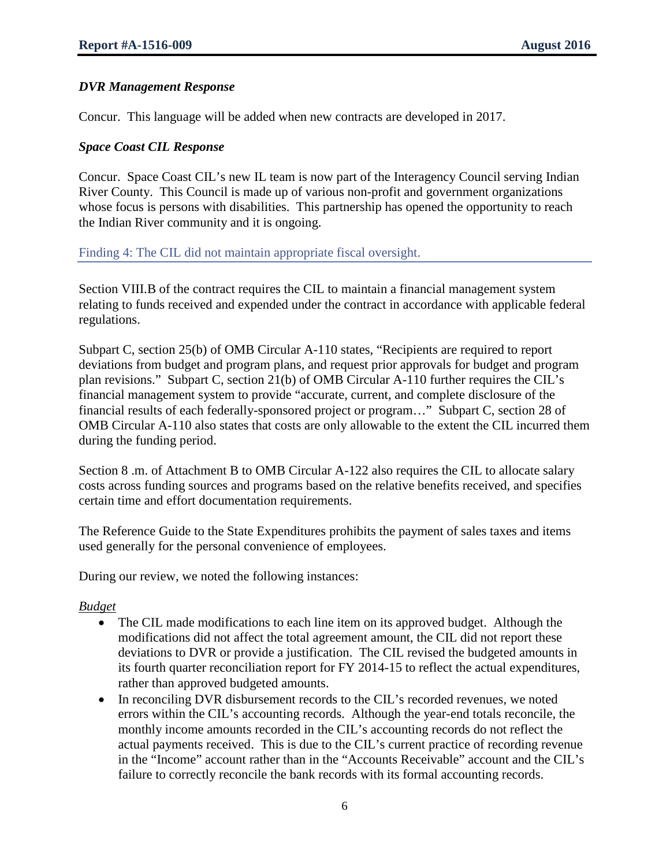## *DVR Management Response*

Concur. This language will be added when new contracts are developed in 2017.

#### *Space Coast CIL Response*

Concur. Space Coast CIL's new IL team is now part of the Interagency Council serving Indian River County. This Council is made up of various non-profit and government organizations whose focus is persons with disabilities. This partnership has opened the opportunity to reach the Indian River community and it is ongoing.

#### Finding 4: The CIL did not maintain appropriate fiscal oversight.

Section VIII.B of the contract requires the CIL to maintain a financial management system relating to funds received and expended under the contract in accordance with applicable federal regulations.

Subpart C, section 25(b) of OMB Circular A-110 states, "Recipients are required to report deviations from budget and program plans, and request prior approvals for budget and program plan revisions." Subpart C, section 21(b) of OMB Circular A-110 further requires the CIL's financial management system to provide "accurate, current, and complete disclosure of the financial results of each federally-sponsored project or program…" Subpart C, section 28 of OMB Circular A-110 also states that costs are only allowable to the extent the CIL incurred them during the funding period.

Section 8 .m. of Attachment B to OMB Circular A-122 also requires the CIL to allocate salary costs across funding sources and programs based on the relative benefits received, and specifies certain time and effort documentation requirements.

The Reference Guide to the State Expenditures prohibits the payment of sales taxes and items used generally for the personal convenience of employees.

During our review, we noted the following instances:

## *Budget*

- The CIL made modifications to each line item on its approved budget. Although the modifications did not affect the total agreement amount, the CIL did not report these deviations to DVR or provide a justification. The CIL revised the budgeted amounts in its fourth quarter reconciliation report for FY 2014-15 to reflect the actual expenditures, rather than approved budgeted amounts.
- In reconciling DVR disbursement records to the CIL's recorded revenues, we noted errors within the CIL's accounting records. Although the year-end totals reconcile, the monthly income amounts recorded in the CIL's accounting records do not reflect the actual payments received. This is due to the CIL's current practice of recording revenue in the "Income" account rather than in the "Accounts Receivable" account and the CIL's failure to correctly reconcile the bank records with its formal accounting records.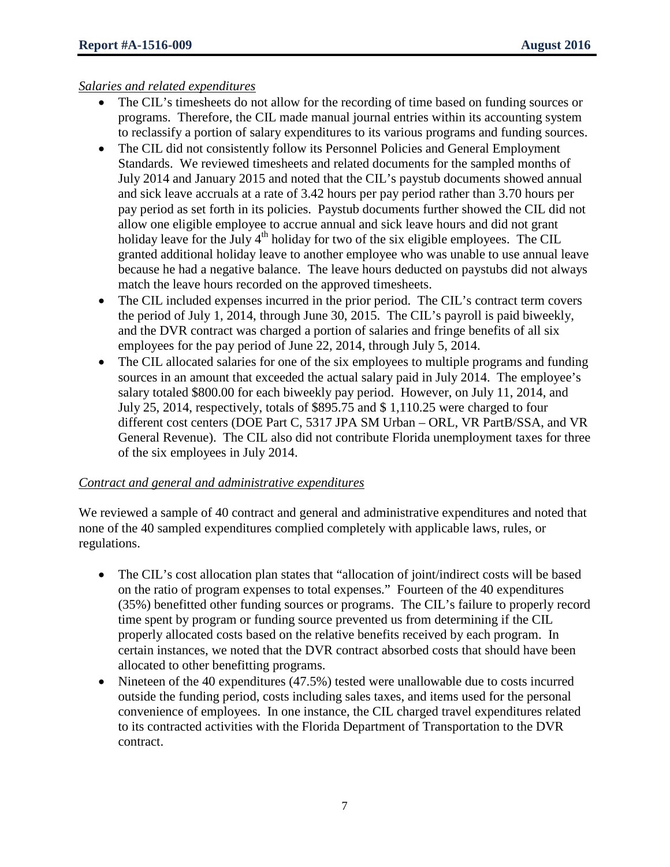## *Salaries and related expenditures*

- The CIL's timesheets do not allow for the recording of time based on funding sources or programs. Therefore, the CIL made manual journal entries within its accounting system to reclassify a portion of salary expenditures to its various programs and funding sources.
- The CIL did not consistently follow its Personnel Policies and General Employment Standards. We reviewed timesheets and related documents for the sampled months of July 2014 and January 2015 and noted that the CIL's paystub documents showed annual and sick leave accruals at a rate of 3.42 hours per pay period rather than 3.70 hours per pay period as set forth in its policies. Paystub documents further showed the CIL did not allow one eligible employee to accrue annual and sick leave hours and did not grant holiday leave for the July  $4<sup>th</sup>$  holiday for two of the six eligible employees. The CIL granted additional holiday leave to another employee who was unable to use annual leave because he had a negative balance. The leave hours deducted on paystubs did not always match the leave hours recorded on the approved timesheets.
- The CIL included expenses incurred in the prior period. The CIL's contract term covers the period of July 1, 2014, through June 30, 2015. The CIL's payroll is paid biweekly, and the DVR contract was charged a portion of salaries and fringe benefits of all six employees for the pay period of June 22, 2014, through July 5, 2014.
- The CIL allocated salaries for one of the six employees to multiple programs and funding sources in an amount that exceeded the actual salary paid in July 2014. The employee's salary totaled \$800.00 for each biweekly pay period. However, on July 11, 2014, and July 25, 2014, respectively, totals of \$895.75 and \$ 1,110.25 were charged to four different cost centers (DOE Part C, 5317 JPA SM Urban – ORL, VR PartB/SSA, and VR General Revenue). The CIL also did not contribute Florida unemployment taxes for three of the six employees in July 2014.

## *Contract and general and administrative expenditures*

We reviewed a sample of 40 contract and general and administrative expenditures and noted that none of the 40 sampled expenditures complied completely with applicable laws, rules, or regulations.

- The CIL's cost allocation plan states that "allocation of joint/indirect costs will be based on the ratio of program expenses to total expenses." Fourteen of the 40 expenditures (35%) benefitted other funding sources or programs. The CIL's failure to properly record time spent by program or funding source prevented us from determining if the CIL properly allocated costs based on the relative benefits received by each program. In certain instances, we noted that the DVR contract absorbed costs that should have been allocated to other benefitting programs.
- Nineteen of the 40 expenditures (47.5%) tested were unallowable due to costs incurred outside the funding period, costs including sales taxes, and items used for the personal convenience of employees. In one instance, the CIL charged travel expenditures related to its contracted activities with the Florida Department of Transportation to the DVR contract.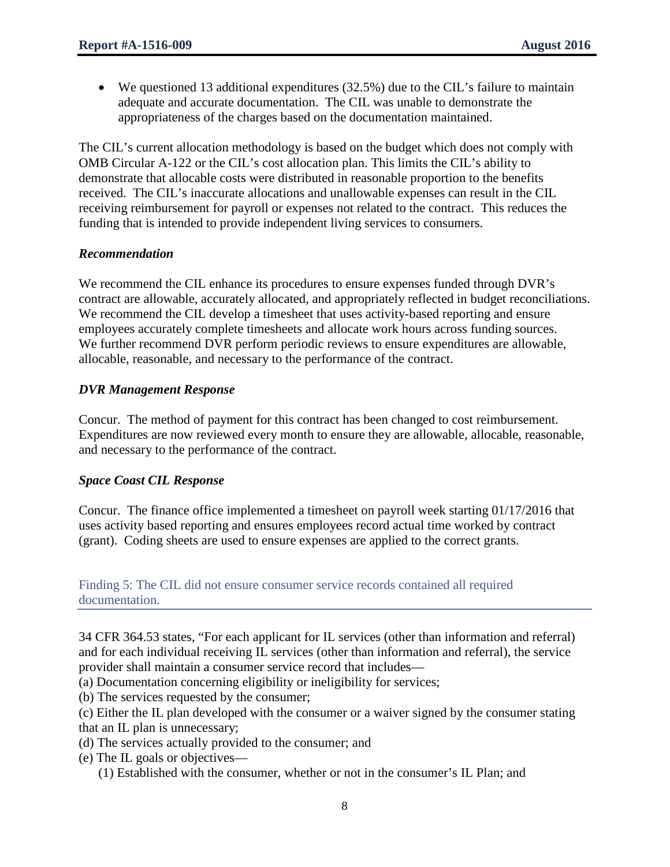• We questioned 13 additional expenditures (32.5%) due to the CIL's failure to maintain adequate and accurate documentation. The CIL was unable to demonstrate the appropriateness of the charges based on the documentation maintained.

The CIL's current allocation methodology is based on the budget which does not comply with OMB Circular A-122 or the CIL's cost allocation plan. This limits the CIL's ability to demonstrate that allocable costs were distributed in reasonable proportion to the benefits received. The CIL's inaccurate allocations and unallowable expenses can result in the CIL receiving reimbursement for payroll or expenses not related to the contract. This reduces the funding that is intended to provide independent living services to consumers.

## *Recommendation*

We recommend the CIL enhance its procedures to ensure expenses funded through DVR's contract are allowable, accurately allocated, and appropriately reflected in budget reconciliations. We recommend the CIL develop a timesheet that uses activity-based reporting and ensure employees accurately complete timesheets and allocate work hours across funding sources. We further recommend DVR perform periodic reviews to ensure expenditures are allowable, allocable, reasonable, and necessary to the performance of the contract.

## *DVR Management Response*

Concur. The method of payment for this contract has been changed to cost reimbursement. Expenditures are now reviewed every month to ensure they are allowable, allocable, reasonable, and necessary to the performance of the contract.

## *Space Coast CIL Response*

Concur. The finance office implemented a timesheet on payroll week starting 01/17/2016 that uses activity based reporting and ensures employees record actual time worked by contract (grant). Coding sheets are used to ensure expenses are applied to the correct grants.

Finding 5: The CIL did not ensure consumer service records contained all required documentation.

34 CFR 364.53 states, "For each applicant for IL services (other than information and referral) and for each individual receiving IL services (other than information and referral), the service provider shall maintain a consumer service record that includes—

(a) Documentation concerning eligibility or ineligibility for services;

(b) The services requested by the consumer;

(c) Either the IL plan developed with the consumer or a waiver signed by the consumer stating that an IL plan is unnecessary;

- (d) The services actually provided to the consumer; and
- (e) The IL goals or objectives—
	- (1) Established with the consumer, whether or not in the consumer's IL Plan; and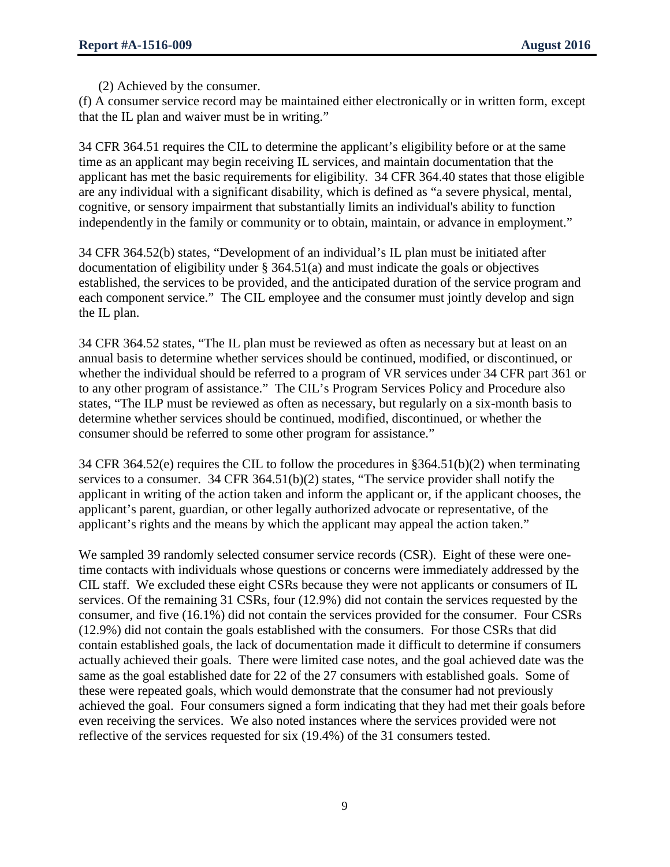(2) Achieved by the consumer.

(f) A consumer service record may be maintained either electronically or in written form, except that the IL plan and waiver must be in writing."

34 CFR 364.51 requires the CIL to determine the applicant's eligibility before or at the same time as an applicant may begin receiving IL services, and maintain documentation that the applicant has met the basic requirements for eligibility. 34 CFR 364.40 states that those eligible are any individual with a significant disability, which is defined as "a severe physical, mental, cognitive, or sensory impairment that substantially limits an individual's ability to function independently in the family or community or to obtain, maintain, or advance in employment."

34 CFR 364.52(b) states, "Development of an individual's IL plan must be initiated after documentation of eligibility under § 364.51(a) and must indicate the goals or objectives established, the services to be provided, and the anticipated duration of the service program and each component service." The CIL employee and the consumer must jointly develop and sign the IL plan.

34 CFR 364.52 states, "The IL plan must be reviewed as often as necessary but at least on an annual basis to determine whether services should be continued, modified, or discontinued, or whether the individual should be referred to a program of VR services under 34 CFR part 361 or to any other program of assistance." The CIL's Program Services Policy and Procedure also states, "The ILP must be reviewed as often as necessary, but regularly on a six-month basis to determine whether services should be continued, modified, discontinued, or whether the consumer should be referred to some other program for assistance."

34 CFR 364.52(e) requires the CIL to follow the procedures in §364.51(b)(2) when terminating services to a consumer. 34 CFR 364.51(b)(2) states, "The service provider shall notify the applicant in writing of the action taken and inform the applicant or, if the applicant chooses, the applicant's parent, guardian, or other legally authorized advocate or representative, of the applicant's rights and the means by which the applicant may appeal the action taken."

We sampled 39 randomly selected consumer service records (CSR). Eight of these were onetime contacts with individuals whose questions or concerns were immediately addressed by the CIL staff. We excluded these eight CSRs because they were not applicants or consumers of IL services. Of the remaining 31 CSRs, four (12.9%) did not contain the services requested by the consumer, and five (16.1%) did not contain the services provided for the consumer. Four CSRs (12.9%) did not contain the goals established with the consumers. For those CSRs that did contain established goals, the lack of documentation made it difficult to determine if consumers actually achieved their goals. There were limited case notes, and the goal achieved date was the same as the goal established date for 22 of the 27 consumers with established goals. Some of these were repeated goals, which would demonstrate that the consumer had not previously achieved the goal. Four consumers signed a form indicating that they had met their goals before even receiving the services. We also noted instances where the services provided were not reflective of the services requested for six (19.4%) of the 31 consumers tested.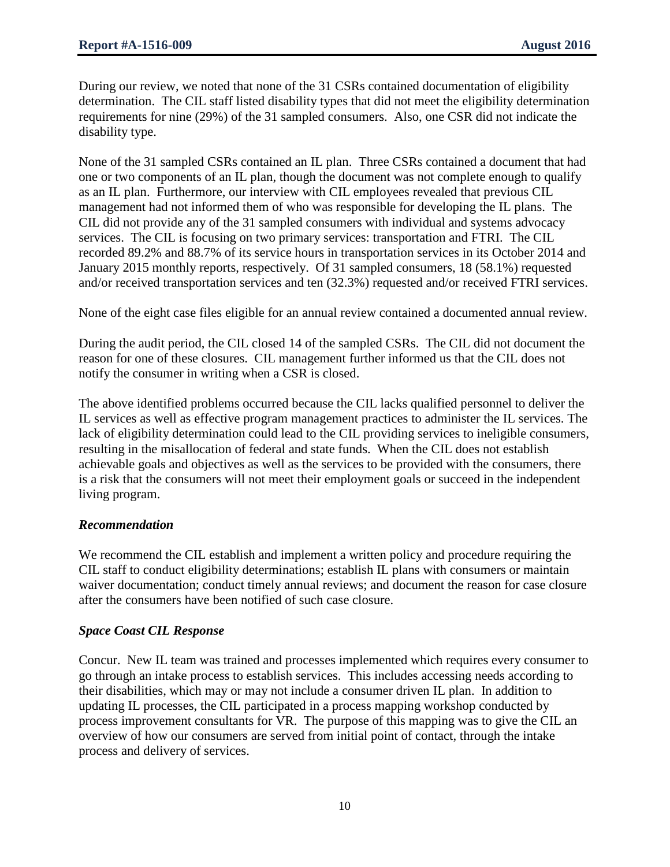During our review, we noted that none of the 31 CSRs contained documentation of eligibility determination. The CIL staff listed disability types that did not meet the eligibility determination requirements for nine (29%) of the 31 sampled consumers. Also, one CSR did not indicate the disability type.

None of the 31 sampled CSRs contained an IL plan. Three CSRs contained a document that had one or two components of an IL plan, though the document was not complete enough to qualify as an IL plan. Furthermore, our interview with CIL employees revealed that previous CIL management had not informed them of who was responsible for developing the IL plans. The CIL did not provide any of the 31 sampled consumers with individual and systems advocacy services. The CIL is focusing on two primary services: transportation and FTRI. The CIL recorded 89.2% and 88.7% of its service hours in transportation services in its October 2014 and January 2015 monthly reports, respectively. Of 31 sampled consumers, 18 (58.1%) requested and/or received transportation services and ten (32.3%) requested and/or received FTRI services.

None of the eight case files eligible for an annual review contained a documented annual review.

During the audit period, the CIL closed 14 of the sampled CSRs. The CIL did not document the reason for one of these closures. CIL management further informed us that the CIL does not notify the consumer in writing when a CSR is closed.

The above identified problems occurred because the CIL lacks qualified personnel to deliver the IL services as well as effective program management practices to administer the IL services. The lack of eligibility determination could lead to the CIL providing services to ineligible consumers, resulting in the misallocation of federal and state funds. When the CIL does not establish achievable goals and objectives as well as the services to be provided with the consumers, there is a risk that the consumers will not meet their employment goals or succeed in the independent living program.

## *Recommendation*

We recommend the CIL establish and implement a written policy and procedure requiring the CIL staff to conduct eligibility determinations; establish IL plans with consumers or maintain waiver documentation; conduct timely annual reviews; and document the reason for case closure after the consumers have been notified of such case closure.

## *Space Coast CIL Response*

Concur. New IL team was trained and processes implemented which requires every consumer to go through an intake process to establish services. This includes accessing needs according to their disabilities, which may or may not include a consumer driven IL plan. In addition to updating IL processes, the CIL participated in a process mapping workshop conducted by process improvement consultants for VR. The purpose of this mapping was to give the CIL an overview of how our consumers are served from initial point of contact, through the intake process and delivery of services.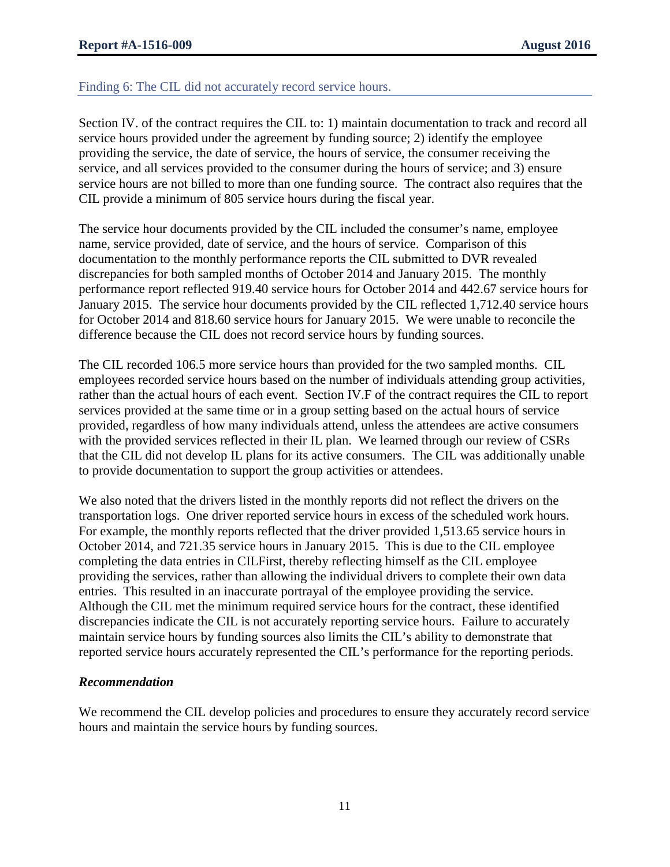#### Finding 6: The CIL did not accurately record service hours.

Section IV. of the contract requires the CIL to: 1) maintain documentation to track and record all service hours provided under the agreement by funding source; 2) identify the employee providing the service, the date of service, the hours of service, the consumer receiving the service, and all services provided to the consumer during the hours of service; and 3) ensure service hours are not billed to more than one funding source. The contract also requires that the CIL provide a minimum of 805 service hours during the fiscal year.

The service hour documents provided by the CIL included the consumer's name, employee name, service provided, date of service, and the hours of service. Comparison of this documentation to the monthly performance reports the CIL submitted to DVR revealed discrepancies for both sampled months of October 2014 and January 2015. The monthly performance report reflected 919.40 service hours for October 2014 and 442.67 service hours for January 2015. The service hour documents provided by the CIL reflected 1,712.40 service hours for October 2014 and 818.60 service hours for January 2015. We were unable to reconcile the difference because the CIL does not record service hours by funding sources.

The CIL recorded 106.5 more service hours than provided for the two sampled months. CIL employees recorded service hours based on the number of individuals attending group activities, rather than the actual hours of each event. Section IV.F of the contract requires the CIL to report services provided at the same time or in a group setting based on the actual hours of service provided, regardless of how many individuals attend, unless the attendees are active consumers with the provided services reflected in their IL plan. We learned through our review of CSRs that the CIL did not develop IL plans for its active consumers. The CIL was additionally unable to provide documentation to support the group activities or attendees.

We also noted that the drivers listed in the monthly reports did not reflect the drivers on the transportation logs. One driver reported service hours in excess of the scheduled work hours. For example, the monthly reports reflected that the driver provided 1,513.65 service hours in October 2014, and 721.35 service hours in January 2015. This is due to the CIL employee completing the data entries in CILFirst, thereby reflecting himself as the CIL employee providing the services, rather than allowing the individual drivers to complete their own data entries. This resulted in an inaccurate portrayal of the employee providing the service. Although the CIL met the minimum required service hours for the contract, these identified discrepancies indicate the CIL is not accurately reporting service hours. Failure to accurately maintain service hours by funding sources also limits the CIL's ability to demonstrate that reported service hours accurately represented the CIL's performance for the reporting periods.

#### *Recommendation*

We recommend the CIL develop policies and procedures to ensure they accurately record service hours and maintain the service hours by funding sources.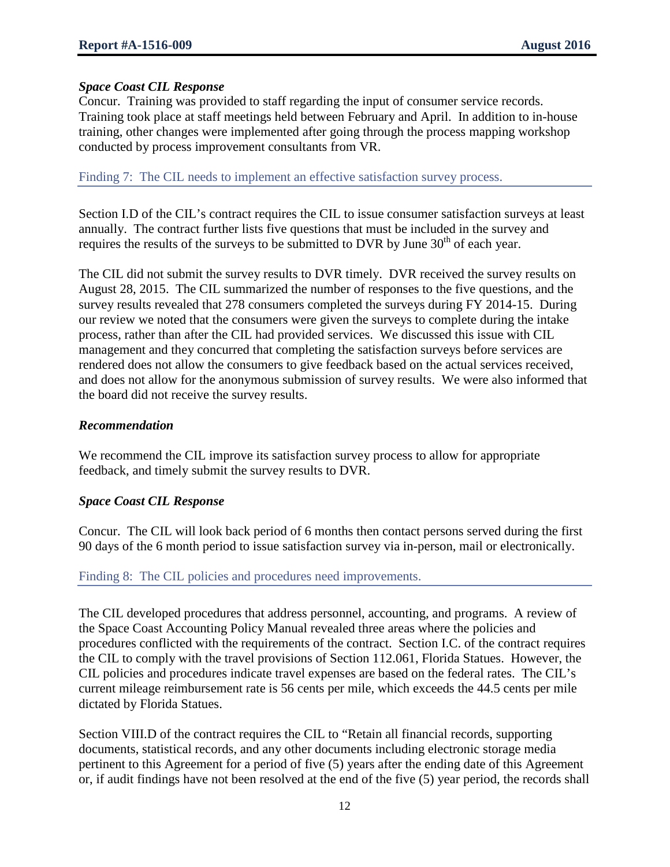## *Space Coast CIL Response*

Concur. Training was provided to staff regarding the input of consumer service records. Training took place at staff meetings held between February and April. In addition to in-house training, other changes were implemented after going through the process mapping workshop conducted by process improvement consultants from VR.

Finding 7: The CIL needs to implement an effective satisfaction survey process.

Section I.D of the CIL's contract requires the CIL to issue consumer satisfaction surveys at least annually. The contract further lists five questions that must be included in the survey and requires the results of the surveys to be submitted to DVR by June  $30<sup>th</sup>$  of each year.

The CIL did not submit the survey results to DVR timely. DVR received the survey results on August 28, 2015. The CIL summarized the number of responses to the five questions, and the survey results revealed that 278 consumers completed the surveys during FY 2014-15. During our review we noted that the consumers were given the surveys to complete during the intake process, rather than after the CIL had provided services. We discussed this issue with CIL management and they concurred that completing the satisfaction surveys before services are rendered does not allow the consumers to give feedback based on the actual services received, and does not allow for the anonymous submission of survey results. We were also informed that the board did not receive the survey results.

## *Recommendation*

We recommend the CIL improve its satisfaction survey process to allow for appropriate feedback, and timely submit the survey results to DVR.

# *Space Coast CIL Response*

Concur. The CIL will look back period of 6 months then contact persons served during the first 90 days of the 6 month period to issue satisfaction survey via in-person, mail or electronically.

# Finding 8: The CIL policies and procedures need improvements.

The CIL developed procedures that address personnel, accounting, and programs. A review of the Space Coast Accounting Policy Manual revealed three areas where the policies and procedures conflicted with the requirements of the contract. Section I.C. of the contract requires the CIL to comply with the travel provisions of Section 112.061, Florida Statues. However, the CIL policies and procedures indicate travel expenses are based on the federal rates. The CIL's current mileage reimbursement rate is 56 cents per mile, which exceeds the 44.5 cents per mile dictated by Florida Statues.

Section VIII.D of the contract requires the CIL to "Retain all financial records, supporting documents, statistical records, and any other documents including electronic storage media pertinent to this Agreement for a period of five (5) years after the ending date of this Agreement or, if audit findings have not been resolved at the end of the five (5) year period, the records shall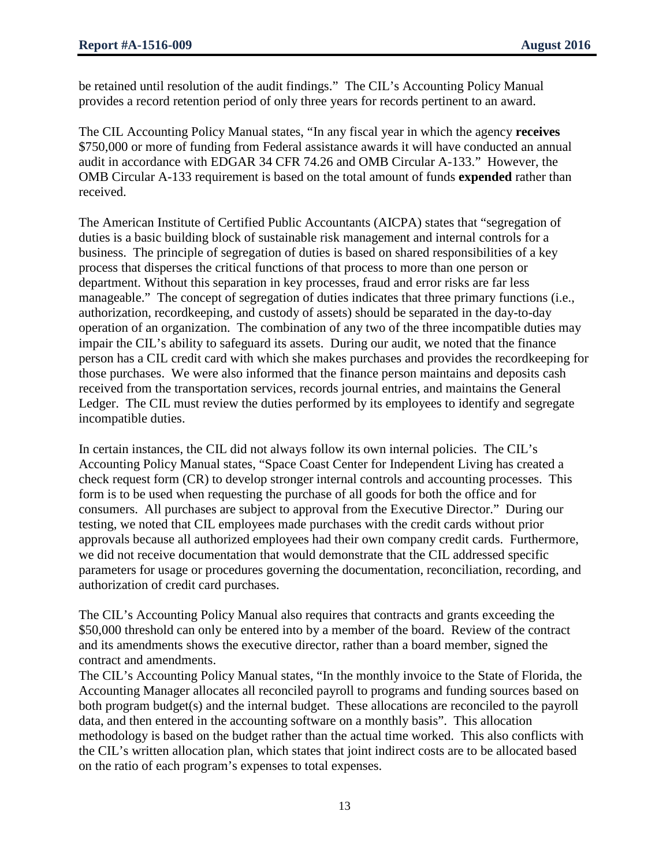be retained until resolution of the audit findings." The CIL's Accounting Policy Manual provides a record retention period of only three years for records pertinent to an award.

The CIL Accounting Policy Manual states, "In any fiscal year in which the agency **receives** \$750,000 or more of funding from Federal assistance awards it will have conducted an annual audit in accordance with EDGAR 34 CFR 74.26 and OMB Circular A-133." However, the OMB Circular A-133 requirement is based on the total amount of funds **expended** rather than received.

The American Institute of Certified Public Accountants (AICPA) states that "segregation of duties is a basic building block of sustainable risk management and internal controls for a business. The principle of segregation of duties is based on shared responsibilities of a key process that disperses the critical functions of that process to more than one person or department. Without this separation in key processes, fraud and error risks are far less manageable." The concept of segregation of duties indicates that three primary functions (i.e., authorization, recordkeeping, and custody of assets) should be separated in the day-to-day operation of an organization. The combination of any two of the three incompatible duties may impair the CIL's ability to safeguard its assets. During our audit, we noted that the finance person has a CIL credit card with which she makes purchases and provides the recordkeeping for those purchases. We were also informed that the finance person maintains and deposits cash received from the transportation services, records journal entries, and maintains the General Ledger. The CIL must review the duties performed by its employees to identify and segregate incompatible duties.

In certain instances, the CIL did not always follow its own internal policies. The CIL's Accounting Policy Manual states, "Space Coast Center for Independent Living has created a check request form (CR) to develop stronger internal controls and accounting processes. This form is to be used when requesting the purchase of all goods for both the office and for consumers. All purchases are subject to approval from the Executive Director." During our testing, we noted that CIL employees made purchases with the credit cards without prior approvals because all authorized employees had their own company credit cards. Furthermore, we did not receive documentation that would demonstrate that the CIL addressed specific parameters for usage or procedures governing the documentation, reconciliation, recording, and authorization of credit card purchases.

The CIL's Accounting Policy Manual also requires that contracts and grants exceeding the \$50,000 threshold can only be entered into by a member of the board. Review of the contract and its amendments shows the executive director, rather than a board member, signed the contract and amendments.

The CIL's Accounting Policy Manual states, "In the monthly invoice to the State of Florida, the Accounting Manager allocates all reconciled payroll to programs and funding sources based on both program budget(s) and the internal budget. These allocations are reconciled to the payroll data, and then entered in the accounting software on a monthly basis". This allocation methodology is based on the budget rather than the actual time worked. This also conflicts with the CIL's written allocation plan, which states that joint indirect costs are to be allocated based on the ratio of each program's expenses to total expenses.